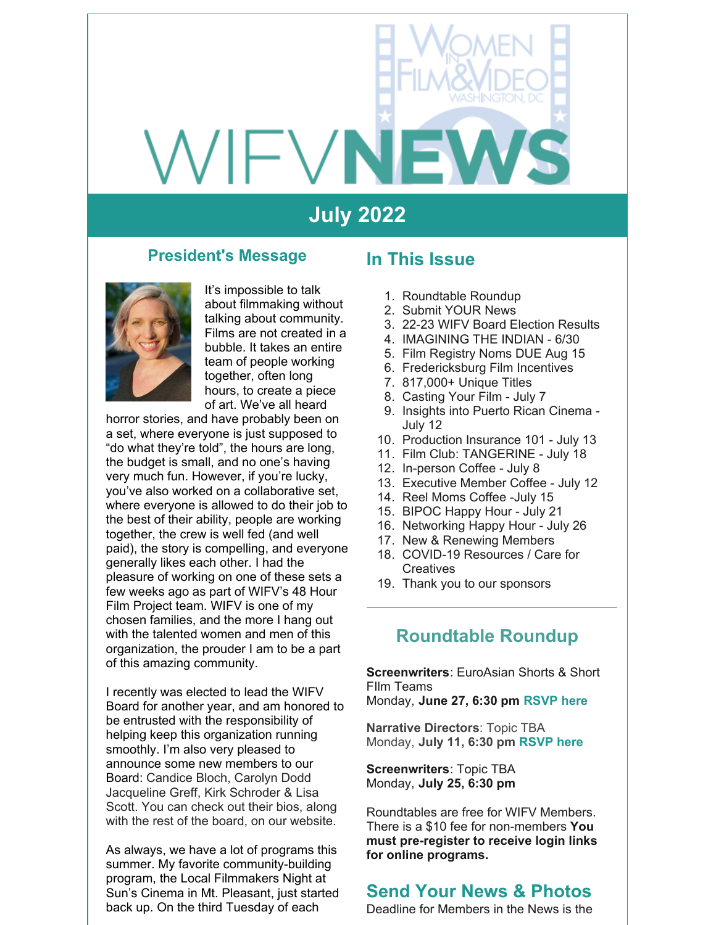# VIFVN

# **July 2022**

#### **President's Message**



It's impossible to talk about filmmaking without talking about community. Films are not created in a bubble. It takes an entire team of people working together, often long hours, to create a piece of art. We've all heard

horror stories, and have probably been on a set, where everyone is just supposed to "do what they're told", the hours are long, the budget is small, and no one's having very much fun. However, if you're lucky, you've also worked on a collaborative set, where everyone is allowed to do their job to the best of their ability, people are working together, the crew is well fed (and well paid), the story is compelling, and everyone generally likes each other. I had the pleasure of working on one of these sets a few weeks ago as part of WIFV's 48 Hour Film Project team. WIFV is one of my chosen families, and the more I hang out with the talented women and men of this organization, the prouder I am to be a part of this amazing community.

I recently was elected to lead the WIFV Board for another year, and am honored to be entrusted with the responsibility of helping keep this organization running smoothly. I'm also very pleased to announce some new members to our Board: Candice Bloch, Carolyn Dodd Jacqueline Greff, Kirk Schroder & Lisa Scott. You can check out their bios, along with the rest of the board, on our website.

As always, we have a lot of programs this summer. My favorite community-building program, the Local Filmmakers Night at Sun's Cinema in Mt. Pleasant, just started back up. On the third Tuesday of each

#### **In This Issue**

- 1. Roundtable Roundup
- 2. Submit YOUR News
- 3. 22-23 WIFV Board Election Results
- 4. IMAGINING THE INDIAN 6/30
- 5. Film Registry Noms DUE Aug 15
- 6. Fredericksburg Film Incentives
- 7. 817,000+ Unique Titles
- 8. Casting Your Film July 7
- 9. Insights into Puerto Rican Cinema July 12
- 10. Production Insurance 101 July 13
- 11. Film Club: TANGERINE July 18
- 12. In-person Coffee July 8
- 13. Executive Member Coffee July 12
- 14. Reel Moms Coffee -July 15
- 15. BIPOC Happy Hour July 21
- 16. Networking Happy Hour July 26
- 17. New & Renewing Members
- 18. COVID-19 Resources / Care for **Creatives**
- 19. Thank you to our sponsors

#### **Roundtable Roundup**

**Screenwriters**: EuroAsian Shorts & Short FIlm Teams

Monday, **June 27, 6:30 pm [RSVP](https://www.wifv.org/calendar/#id=21509&cid=783&wid=401&type=Cal) here**

**Narrative Directors**: Topic TBA Monday, **July 11, 6:30 pm [RSVP](https://www.wifv.org/calendar/#id=21516&cid=783&wid=401) here**

**Screenwriters**: Topic TBA Monday, **July 25, 6:30 pm**

Roundtables are free for WIFV Members. There is a \$10 fee for non-members **You must pre-register to receive login links for online programs.**

#### **Send Your News & Photos**

Deadline for Members in the News is the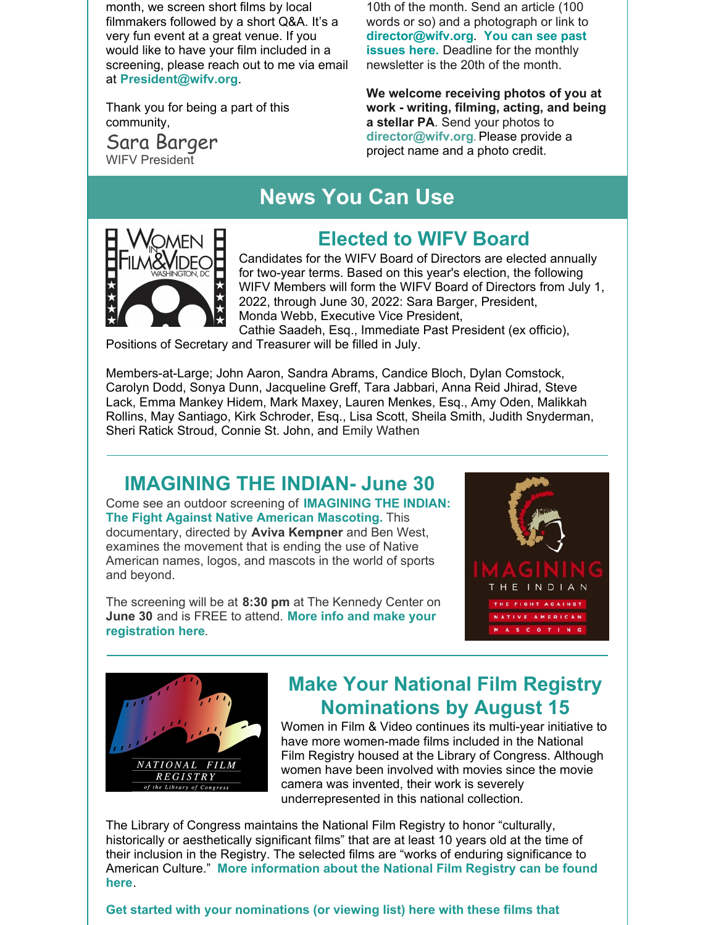month, we screen short films by local filmmakers followed by a short Q&A. It's a very fun event at a great venue. If you would like to have your film included in a screening, please reach out to me via email at **[President@wifv.org](mailto:president@wifv.org)**.

Thank you for being a part of this community,

Sara Barger WIFV President

10th of the month. Send an article (100 words or so) and a photograph or link to **[director@wifv.org](https://www.wifv.org/news/newsletter/)**. **You can see past issues here.** Deadline for the monthly newsletter is the 20th of the month.

**We welcome receiving photos of you at work - writing, filming, acting, and being a stellar PA**. Send your photos to **[director@wifv.org](mailto:director@wifv.org)**. Please provide a project name and a photo credit.

# **News You Can Use**



## **Elected to WIFV Board**

Candidates for the WIFV Board of Directors are elected annually for two-year terms. Based on this year's election, the following WIFV Members will form the WIFV Board of Directors from July 1, 2022, through June 30, 2022: Sara Barger, President, Monda Webb, Executive Vice President, Cathie Saadeh, Esq., Immediate Past President (ex officio),

Positions of Secretary and Treasurer will be filled in July.

Members-at-Large; John Aaron, Sandra Abrams, Candice Bloch, Dylan Comstock, Carolyn Dodd, Sonya Dunn, Jacqueline Greff, Tara Jabbari, Anna Reid Jhirad, Steve Lack, Emma Mankey Hidem, Mark Maxey, Lauren Menkes, Esq., Amy Oden, Malikkah Rollins, May Santiago, Kirk Schroder, Esq., Lisa Scott, Sheila Smith, Judith Snyderman, Sheri Ratick Stroud, Connie St. John, and Emily Wathen

#### **IMAGINING THE INDIAN- June 30**

Come see an outdoor screening of **[IMAGINING](https://cieslafoundation.org/imagining-the-indian/) THE INDIAN: The Fight Against Native American Mascoting.** This documentary, directed by **Aviva Kempner** and Ben West, examines the movement that is ending the use of Native American names, logos, and mascots in the world of sports and beyond.

The screening will be at **8:30 pm** at The Kennedy Center on **June 30** and is FREE to attend. **More info and make your [registration](https://www.kennedy-center.org/whats-on/millennium-stage/2022/june/outdoor-film-screening/) here**.





## **Make Your National Film Registry Nominations by August 15**

Women in Film & Video continues its multi-year initiative to have more women-made films included in the National Film Registry housed at the Library of Congress. Although women have been involved with movies since the movie camera was invented, their work is severely underrepresented in this national collection.

The Library of Congress maintains the National Film Registry to honor "culturally, historically or aesthetically significant films" that are at least 10 years old at the time of their inclusion in the Registry. The selected films are "works of enduring significance to American Culture." **More [information](http://www.loc.gov/film/filmnfr.html) about the National Film Registry can be found here**.

**Get started with your [nominations](https://www.wifv.org/national-film-registry/) (or viewing list) here with these films that**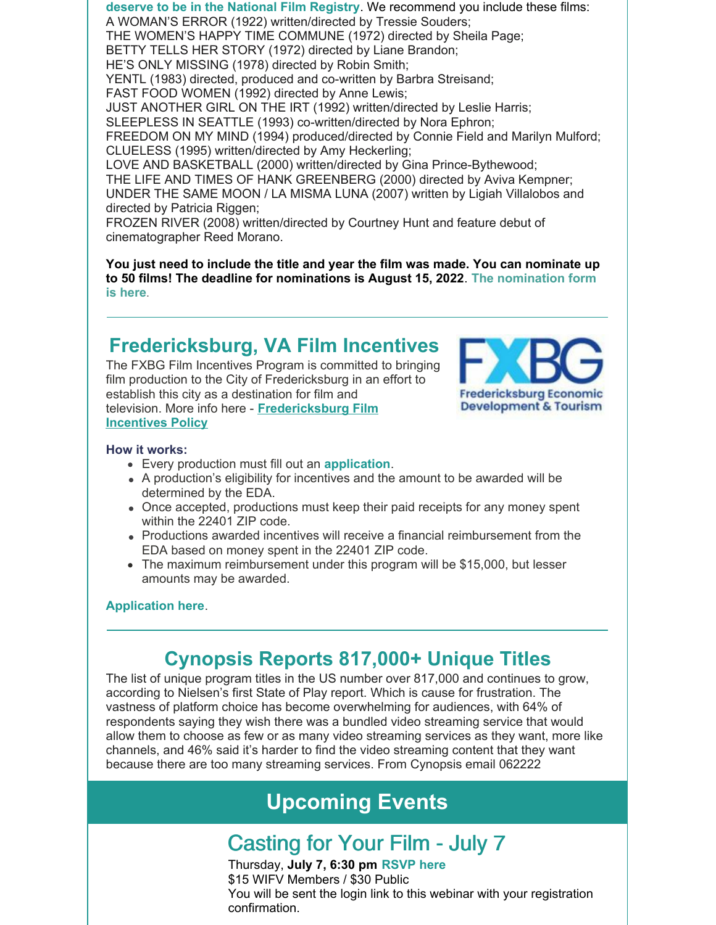**deserve to be in the National Film Registry**. We recommend you include these films: A WOMAN'S ERROR (1922) written/directed by Tressie Souders; THE WOMEN'S HAPPY TIME COMMUNE (1972) directed by Sheila Page; BETTY TELLS HER STORY (1972) directed by Liane Brandon; HE'S ONLY MISSING (1978) directed by Robin Smith; YENTL (1983) directed, produced and co-written by Barbra Streisand; FAST FOOD WOMEN (1992) directed by Anne Lewis; JUST ANOTHER GIRL ON THE IRT (1992) written/directed by Leslie Harris; SLEEPLESS IN SEATTLE (1993) co-written/directed by Nora Ephron; FREEDOM ON MY MIND (1994) produced/directed by Connie Field and Marilyn Mulford; CLUELESS (1995) written/directed by Amy Heckerling; LOVE AND BASKETBALL (2000) written/directed by Gina Prince-Bythewood; THE LIFE AND TIMES OF HANK GREENBERG (2000) directed by Aviva Kempner; UNDER THE SAME MOON / LA MISMA LUNA (2007) written by Ligiah Villalobos and directed by Patricia Riggen; FROZEN RIVER (2008) written/directed by Courtney Hunt and feature debut of cinematographer Reed Morano.

**You just need to include the title and year the film was made. You can nominate up to 50 films! The deadline for [nominations](https://www.research.net/r/national-fim-registry-nomination-form) is August 15, 2022**. **The nomination form is here**.

### **Fredericksburg, VA Film Incentives**

The FXBG Film Incentives Program is committed to bringing film production to the City of Fredericksburg in an effort to establish this city as a destination for film and television. More info here - **[Fredericksburg](https://fredericksburgva.com/DocumentCenter/View/955/Fredericksburg-Film-Incentives-Policy) Film Incentives Policy**



#### **How it works:**

- Every production must fill out an **[application](https://fredericksburgva.com/FormCenter/FXBG-Film-Incentive-Program-18/FXBG-Film-Incentive-Program-Online-Appli-61)**.
- A production's eligibility for incentives and the amount to be awarded will be determined by the EDA.
- Once accepted, productions must keep their paid receipts for any money spent within the 22401 ZIP code.
- Productions awarded incentives will receive a financial reimbursement from the EDA based on money spent in the 22401 ZIP code.
- The maximum reimbursement under this program will be \$15,000, but lesser amounts may be awarded.

#### **[Application](https://fredericksburgva.com/FormCenter/FXBG-Film-Incentive-Program-18/FXBG-Film-Incentive-Program-Online-Appli-61) here**.

## **Cynopsis Reports 817,000+ Unique Titles**

The list of unique program titles in the US number over 817,000 and continues to grow, according to Nielsen's first State of Play report. Which is cause for frustration. The vastness of platform choice has become overwhelming for audiences, with 64% of respondents saying they wish there was a bundled video streaming service that would allow them to choose as few or as many video streaming services as they want, more like channels, and 46% said it's harder to find the video streaming content that they want because there are too many streaming services. From Cynopsis email 062222

# **Upcoming Events**

## Casting for Your Film - July 7

Thursday, **July 7, 6:30 pm [RSVP](https://www.wifv.org/calendar/#id=21513&cid=783&wid=401&type=Cal) here** \$15 WIFV Members / \$30 Public You will be sent the login link to this webinar with your registration confirmation.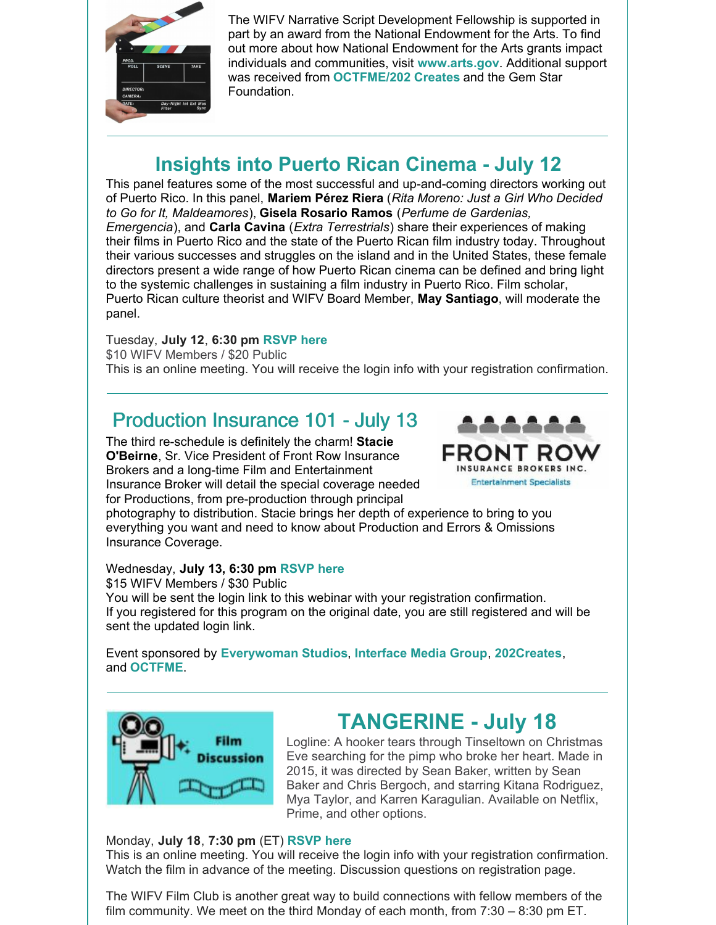

The WIFV Narrative Script Development Fellowship is supported in part by an award from the National Endowment for the Arts. To find out more about how National Endowment for the Arts grants impact individuals and communities, visit **[www.arts.gov](http://www.arts.gov/)**. Additional support was received from **[OCTFME/202](http://www.entertainment.dc.gov) Creates** and the Gem Star Foundation.

## **Insights into Puerto Rican Cinema - July 12**

This panel features some of the most successful and up-and-coming directors working out of Puerto Rico. In this panel, **Mariem Pérez Riera** (*Rita Moreno: Just a Girl Who Decided to Go for It, Maldeamores*), **Gisela Rosario Ramos** (*Perfume de Gardenias, Emergencia*), and **Carla Cavina** (*Extra Terrestrials*) share their experiences of making their films in Puerto Rico and the state of the Puerto Rican film industry today. Throughout their various successes and struggles on the island and in the United States, these female directors present a wide range of how Puerto Rican cinema can be defined and bring light to the systemic challenges in sustaining a film industry in Puerto Rico. Film scholar, Puerto Rican culture theorist and WIFV Board Member, **May Santiago**, will moderate the panel.

#### Tuesday, **July 12**, **6:30 pm [RSVP](https://www.wifv.org/calendar/#id=21514&cid=783&wid=401&type=Cal) here**

\$10 WIFV Members / \$20 Public This is an online meeting. You will receive the login info with your registration confirmation.

## Production Insurance 101 - July 13

The third re-schedule is definitely the charm! **Stacie O'Beirne**, Sr. Vice President of Front Row Insurance Brokers and a long-time Film and Entertainment Insurance Broker will detail the special coverage needed for Productions, from pre-production through principal



photography to distribution. Stacie brings her depth of experience to bring to you everything you want and need to know about Production and Errors & Omissions Insurance Coverage.

#### Wednesday, **July 13, 6:30 pm [RSVP](https://www.wifv.org/calendar/#id=21510&cid=783&wid=401&type=Cal) here**

\$15 WIFV Members / \$30 Public You will be sent the login link to this webinar with your registration confirmation. If you registered for this program on the original date, you are still registered and will be sent the updated login link.

Event sponsored by **[Everywoman](https://everywomanstudios.com/) Studios**, **[Interface](https://www.interfacemedia.com/?gclid=CjwKCAjwx8iIBhBwEiwA2quaq6EbtRw8fm_ES4lYn6JIc3ZBt-r1SGHRN9VOJCzMwHdSZqzhJk2IPRoCgpMQAvD_BwE) Media Group**, **[202Creates](http://www.202creates.com/)**, and **[OCTFME](https://www.entertainment.dc.gov/)**.



# **TANGERINE - July 18**

Logline: A hooker tears through Tinseltown on Christmas Eve searching for the pimp who broke her heart. Made in 2015, it was directed by Sean Baker, written by Sean Baker and Chris Bergoch, and starring Kitana Rodriguez, Mya Taylor, and Karren Karagulian. Available on Netflix, Prime, and other options.

#### Monday, **July 18**, **7:30 pm** (ET) **[RSVP](https://www.wifv.org/calendar/#id=21517&cid=783&wid=401) here**

This is an online meeting. You will receive the login info with your registration confirmation. Watch the film in advance of the meeting. Discussion questions on registration page.

The WIFV Film Club is another great way to build connections with fellow members of the film community. We meet on the third Monday of each month, from 7:30 – 8:30 pm ET.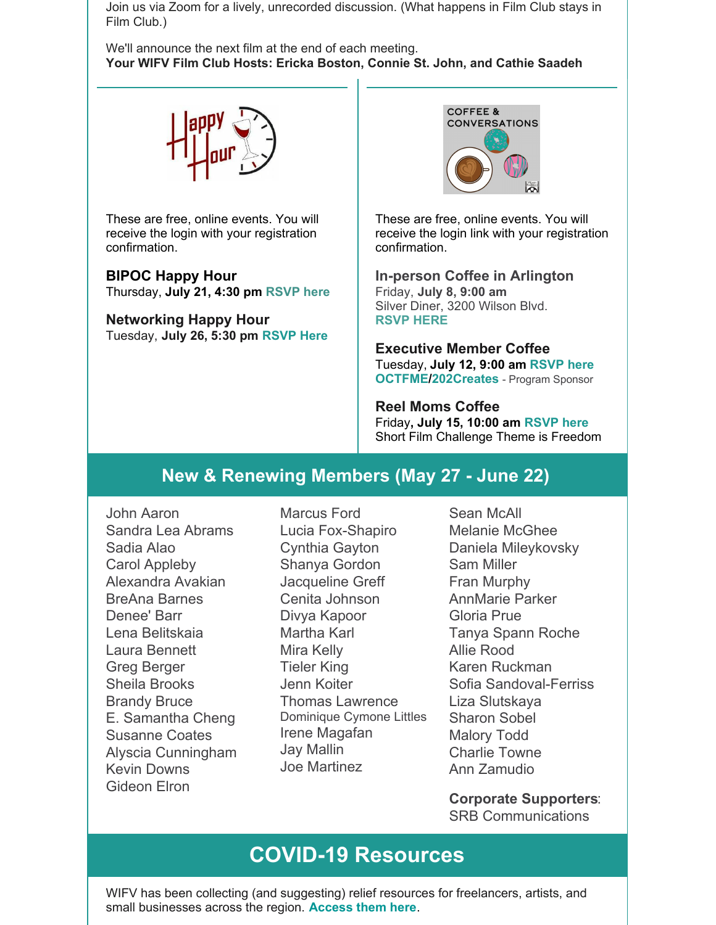Join us via Zoom for a lively, unrecorded discussion. (What happens in Film Club stays in Film Club.)

We'll announce the next film at the end of each meeting. **Your WIFV Film Club Hosts: Ericka Boston, Connie St. John, and Cathie Saadeh**



These are free, online events. You will receive the login with your registration confirmation.

**BIPOC Happy Hour** Thursday, **July 21, 4:30 pm [RSVP](https://www.wifv.org/calendar/#id=21520&cid=783&wid=401&type=Cal) here**

**Networking Happy Hour** Tuesday, **July 26, 5:30 pm [RSVP](https://www.wifv.org/calendar/#id=21524&cid=783&wid=401) Here**



These are free, online events. You will receive the login link with your registration confirmation.

**In-person Coffee in Arlington** Friday, **July 8, 9:00 am** Silver Diner, 3200 Wilson Blvd. **[RSVP](https://www.wifv.org/calendar/#id=21511&cid=783&wid=401&type=Cal) HERE**

**Executive Member Coffee** Tuesday, **July 12, 9:00 am [RSVP](https://www.wifv.org/calendar/#id=21512&cid=783&wid=401&type=Cal) here [OCTFME/202Creates](https://r20.rs6.net/tn.jsp?f=001h1NJsH7bC80MrwRwr1iHD1i-ZY6QwofbVIYTAmBA07JNOEaRrwgAa6gPJcxpbKD5uZFRrRDgYEd61Utxx-cVCM-ihCeOHL_7upGI3Q_Nee13WXP0TtApg8q4Z1IX3exi5G7EKXqB4NyUAKX-c-kxb8WcVj0twpyX&c=dEnoz49Gpm7HeFSnyTPvZV5oHtx3BaoLL_g2ZQO6j6mbZyOIvyGA-w==&ch=dsJrz81Z18UJnySfnuEaNYEY65F4OV4Ag1ptT2zypAXyQnVNLHtRQQ==)** - Program Sponsor

**Reel Moms Coffee** Friday**, July 15, 10:00 am [RSVP](https://www.wifv.org/calendar/#id=21521&cid=783&wid=401&type=Cal) here** Short Film Challenge Theme is Freedom

#### **New & Renewing Members (May 27 - June 22)**

John Aaron Sandra Lea Abrams Sadia Alao Carol Appleby Alexandra Avakian BreAna Barnes Denee' Barr Lena Belitskaia Laura Bennett Greg Berger Sheila Brooks Brandy Bruce E. Samantha Cheng Susanne Coates Alyscia Cunningham Kevin Downs Gideon Elron

Marcus Ford Lucia Fox-Shapiro Cynthia Gayton Shanya Gordon Jacqueline Greff Cenita Johnson Divya Kapoor Martha Karl Mira Kelly Tieler King Jenn Koiter Thomas Lawrence Dominique Cymone Littles Irene Magafan Jay Mallin Joe Martinez

Sean McAll Melanie McGhee Daniela Mileykovsky Sam Miller Fran Murphy AnnMarie Parker Gloria Prue Tanya Spann Roche Allie Rood Karen Ruckman Sofia Sandoval-Ferriss Liza Slutskaya Sharon Sobel Malory Todd Charlie Towne Ann Zamudio

**Corporate Supporters**: SRB Communications

# **COVID-19 Resources**

WIFV has been collecting (and suggesting) relief resources for freelancers, artists, and small businesses across the region. **[Access](https://www.wifv.org/resources/) them here**.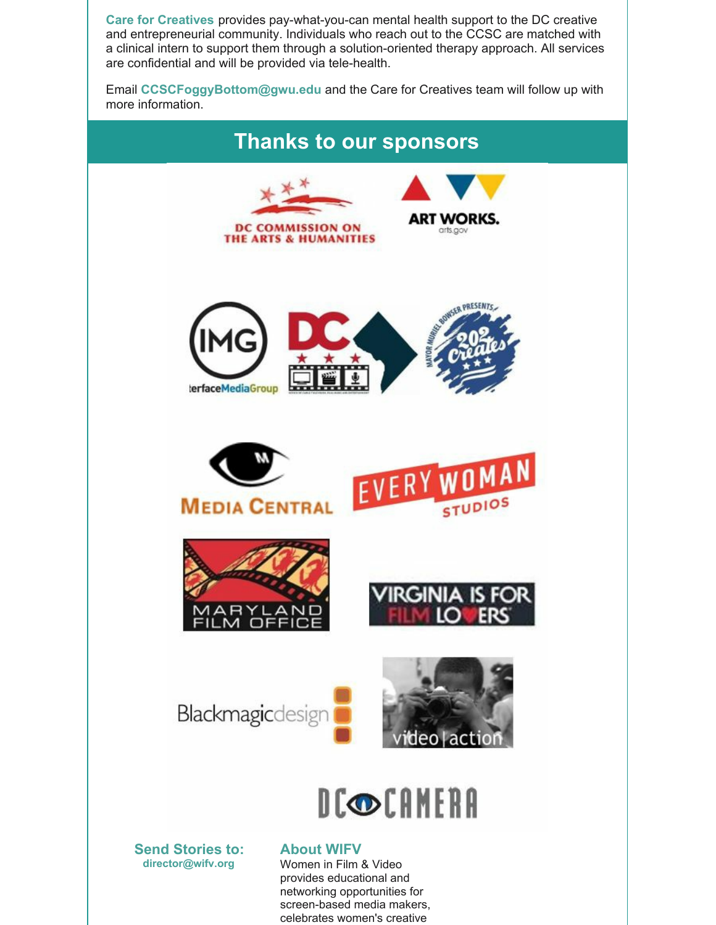**Care for [Creatives](https://www.creativeaffairsdc.com/partnerships)** provides pay-what-you-can mental health support to the DC creative and entrepreneurial community. Individuals who reach out to the CCSC are matched with a clinical intern to support them through a solution-oriented therapy approach. All services are confidential and will be provided via tele-health.

Email **[CCSCFoggyBottom@gwu.edu](mailto:CCSCFoggyBottom@gwu.edu)** and the Care for Creatives team will follow up with more information.



screen-based media makers, celebrates women's creative